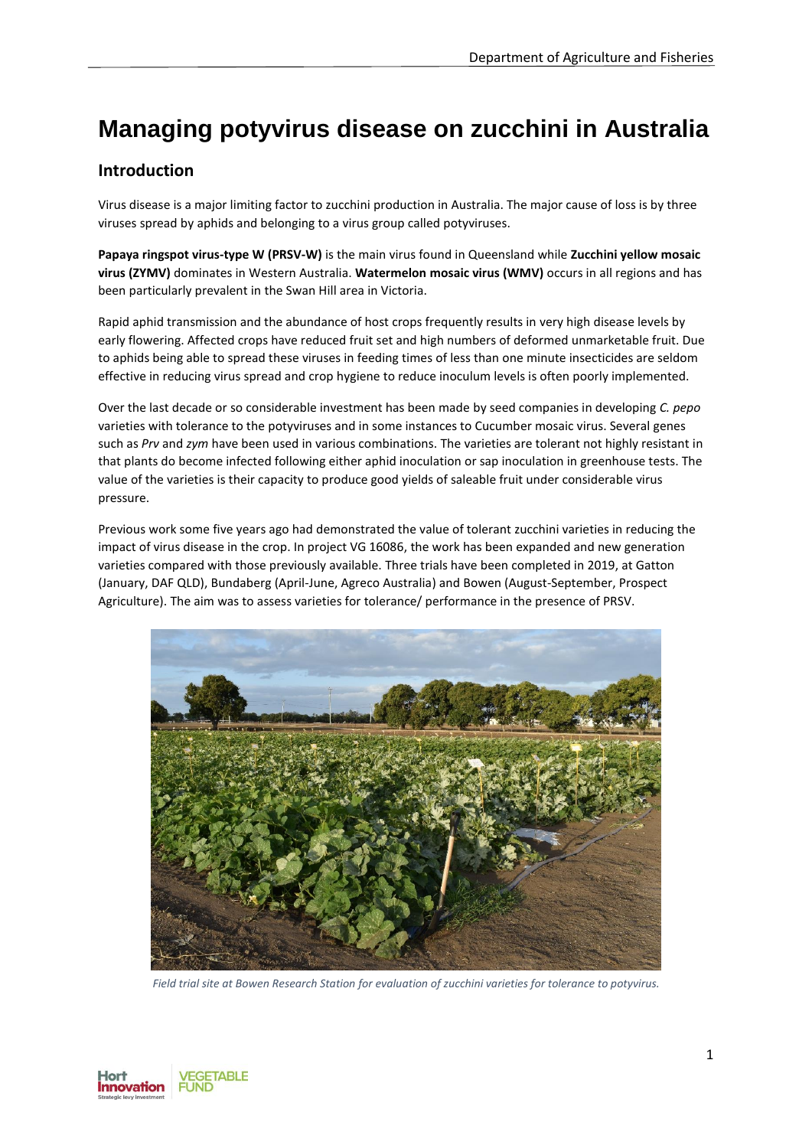# **Managing potyvirus disease on zucchini in Australia**

# **Introduction**

Virus disease is a major limiting factor to zucchini production in Australia. The major cause of loss is by three viruses spread by aphids and belonging to a virus group called potyviruses.

**Papaya ringspot virus-type W (PRSV-W)** is the main virus found in Queensland while **Zucchini yellow mosaic virus (ZYMV)** dominates in Western Australia. **Watermelon mosaic virus (WMV)** occurs in all regions and has been particularly prevalent in the Swan Hill area in Victoria.

Rapid aphid transmission and the abundance of host crops frequently results in very high disease levels by early flowering. Affected crops have reduced fruit set and high numbers of deformed unmarketable fruit. Due to aphids being able to spread these viruses in feeding times of less than one minute insecticides are seldom effective in reducing virus spread and crop hygiene to reduce inoculum levels is often poorly implemented.

Over the last decade or so considerable investment has been made by seed companies in developing *C. pepo*  varieties with tolerance to the potyviruses and in some instances to Cucumber mosaic virus. Several genes such as *Prv* and *zym* have been used in various combinations. The varieties are tolerant not highly resistant in that plants do become infected following either aphid inoculation or sap inoculation in greenhouse tests. The value of the varieties is their capacity to produce good yields of saleable fruit under considerable virus pressure.

Previous work some five years ago had demonstrated the value of tolerant zucchini varieties in reducing the impact of virus disease in the crop. In project VG 16086, the work has been expanded and new generation varieties compared with those previously available. Three trials have been completed in 2019, at Gatton (January, DAF QLD), Bundaberg (April-June, Agreco Australia) and Bowen (August-September, Prospect Agriculture). The aim was to assess varieties for tolerance/ performance in the presence of PRSV.



*Field trial site at Bowen Research Station for evaluation of zucchini varieties for tolerance to potyvirus.*

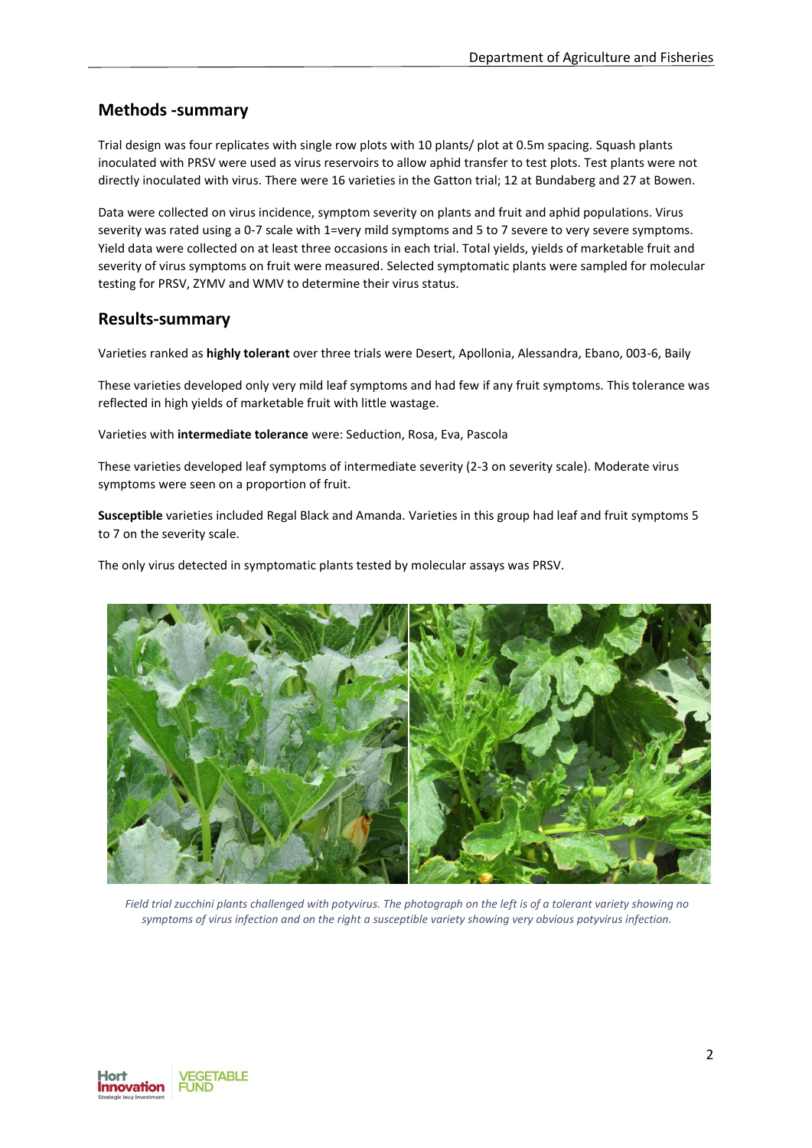#### **Methods -summary**

Trial design was four replicates with single row plots with 10 plants/ plot at 0.5m spacing. Squash plants inoculated with PRSV were used as virus reservoirs to allow aphid transfer to test plots. Test plants were not directly inoculated with virus. There were 16 varieties in the Gatton trial; 12 at Bundaberg and 27 at Bowen.

Data were collected on virus incidence, symptom severity on plants and fruit and aphid populations. Virus severity was rated using a 0-7 scale with 1=very mild symptoms and 5 to 7 severe to very severe symptoms. Yield data were collected on at least three occasions in each trial. Total yields, yields of marketable fruit and severity of virus symptoms on fruit were measured. Selected symptomatic plants were sampled for molecular testing for PRSV, ZYMV and WMV to determine their virus status.

#### **Results-summary**

Varieties ranked as **highly tolerant** over three trials were Desert, Apollonia, Alessandra, Ebano, 003-6, Baily

These varieties developed only very mild leaf symptoms and had few if any fruit symptoms. This tolerance was reflected in high yields of marketable fruit with little wastage.

Varieties with **intermediate tolerance** were: Seduction, Rosa, Eva, Pascola

These varieties developed leaf symptoms of intermediate severity (2-3 on severity scale). Moderate virus symptoms were seen on a proportion of fruit.

**Susceptible** varieties included Regal Black and Amanda. Varieties in this group had leaf and fruit symptoms 5 to 7 on the severity scale.

The only virus detected in symptomatic plants tested by molecular assays was PRSV.



*Field trial zucchini plants challenged with potyvirus. The photograph on the left is of a tolerant variety showing no symptoms of virus infection and on the right a susceptible variety showing very obvious potyvirus infection.*